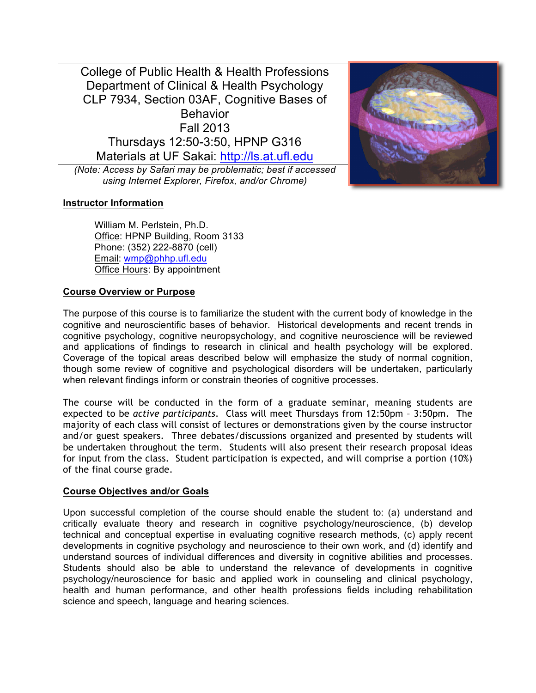College of Public Health & Health Professions Department of Clinical & Health Psychology CLP 7934, Section 03AF, Cognitive Bases of **Behavior** Fall 2013 Thursdays 12:50-3:50, HPNP G316 Materials at UF Sakai: http://ls.at.ufl.edu

*(Note: Access by Safari may be problematic; best if accessed using Internet Explorer, Firefox, and/or Chrome)*



William M. Perlstein, Ph.D. Office: HPNP Building, Room 3133 Phone: (352) 222-8870 (cell) Email: wmp@phhp.ufl.edu Office Hours: By appointment

# **Course Overview or Purpose**

The purpose of this course is to familiarize the student with the current body of knowledge in the cognitive and neuroscientific bases of behavior. Historical developments and recent trends in cognitive psychology, cognitive neuropsychology, and cognitive neuroscience will be reviewed and applications of findings to research in clinical and health psychology will be explored. Coverage of the topical areas described below will emphasize the study of normal cognition, though some review of cognitive and psychological disorders will be undertaken, particularly when relevant findings inform or constrain theories of cognitive processes.

The course will be conducted in the form of a graduate seminar, meaning students are expected to be *active participants*. Class will meet Thursdays from 12:50pm – 3:50pm. The majority of each class will consist of lectures or demonstrations given by the course instructor and/or guest speakers. Three debates/discussions organized and presented by students will be undertaken throughout the term. Students will also present their research proposal ideas for input from the class. Student participation is expected, and will comprise a portion (10%) of the final course grade.

## **Course Objectives and/or Goals**

Upon successful completion of the course should enable the student to: (a) understand and critically evaluate theory and research in cognitive psychology/neuroscience, (b) develop technical and conceptual expertise in evaluating cognitive research methods, (c) apply recent developments in cognitive psychology and neuroscience to their own work, and (d) identify and understand sources of individual differences and diversity in cognitive abilities and processes. Students should also be able to understand the relevance of developments in cognitive psychology/neuroscience for basic and applied work in counseling and clinical psychology, health and human performance, and other health professions fields including rehabilitation science and speech, language and hearing sciences.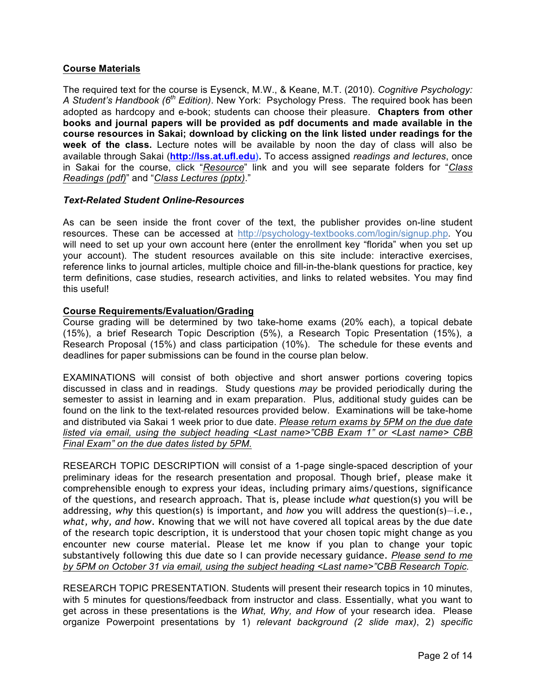## **Course Materials**

The required text for the course is Eysenck, M.W., & Keane, M.T. (2010). *Cognitive Psychology: A Student's Handbook (6th Edition)*. New York: Psychology Press. The required book has been adopted as hardcopy and e-book; students can choose their pleasure. **Chapters from other books and journal papers will be provided as pdf documents and made available in the course resources in Sakai; download by clicking on the link listed under readings for the week of the class.** Lecture notes will be available by noon the day of class will also be available through Sakai (**http://lss.at.ufl.edu).** To access assigned *readings and lectures*, once in Sakai for the course, click "*Resource*" link and you will see separate folders for "*Class Readings (pdf)*" and "*Class Lectures (pptx)*."

## *Text-Related Student Online-Resources*

As can be seen inside the front cover of the text, the publisher provides on-line student resources. These can be accessed at http://psychology-textbooks.com/login/signup.php. You will need to set up your own account here (enter the enrollment key "florida" when you set up your account). The student resources available on this site include: interactive exercises, reference links to journal articles, multiple choice and fill-in-the-blank questions for practice, key term definitions, case studies, research activities, and links to related websites. You may find this useful!

## **Course Requirements/Evaluation/Grading**

Course grading will be determined by two take-home exams (20% each), a topical debate (15%), a brief Research Topic Description (5%), a Research Topic Presentation (15%), a Research Proposal (15%) and class participation (10%). The schedule for these events and deadlines for paper submissions can be found in the course plan below.

EXAMINATIONS will consist of both objective and short answer portions covering topics discussed in class and in readings. Study questions *may* be provided periodically during the semester to assist in learning and in exam preparation. Plus, additional study guides can be found on the link to the text-related resources provided below. Examinations will be take-home and distributed via Sakai 1 week prior to due date. *Please return exams by 5PM on the due date listed via email, using the subject heading <Last name>"CBB Exam 1" or <Last name> CBB Final Exam" on the due dates listed by 5PM.*

RESEARCH TOPIC DESCRIPTION will consist of a 1-page single-spaced description of your preliminary ideas for the research presentation and proposal. Though brief, please make it comprehensible enough to express your ideas, including primary aims/questions, significance of the questions, and research approach. That is, please include *what* question(s) you will be addressing, *why* this question(s) is important, and *how* you will address the question(s)—i.e., *what, why, and how*. Knowing that we will not have covered all topical areas by the due date of the research topic description, it is understood that your chosen topic might change as you encounter new course material. Please let me know if you plan to change your topic substantively following this due date so I can provide necessary guidance. *Please send to me by 5PM on October 31 via email, using the subject heading <Last name>"CBB Research Topic.*

RESEARCH TOPIC PRESENTATION. Students will present their research topics in 10 minutes, with 5 minutes for questions/feedback from instructor and class. Essentially, what you want to get across in these presentations is the *What, Why, and How* of your research idea. Please organize Powerpoint presentations by 1) *relevant background (2 slide max)*, 2) *specific*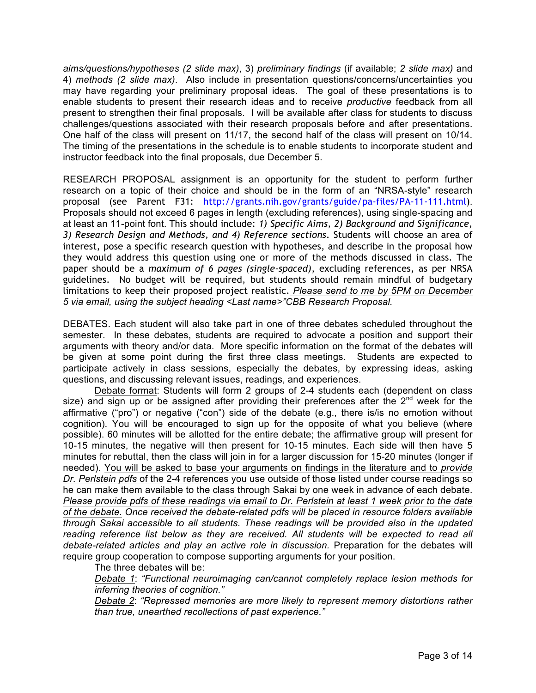*aims/questions/hypotheses (2 slide max)*, 3) *preliminary findings* (if available; *2 slide max)* and 4) *methods (2 slide max)*. Also include in presentation questions/concerns/uncertainties you may have regarding your preliminary proposal ideas. The goal of these presentations is to enable students to present their research ideas and to receive *productive* feedback from all present to strengthen their final proposals. I will be available after class for students to discuss challenges/questions associated with their research proposals before and after presentations. One half of the class will present on 11/17, the second half of the class will present on 10/14. The timing of the presentations in the schedule is to enable students to incorporate student and instructor feedback into the final proposals, due December 5.

RESEARCH PROPOSAL assignment is an opportunity for the student to perform further research on a topic of their choice and should be in the form of an "NRSA-style" research proposal (see Parent F31: http://grants.nih.gov/grants/guide/pa-files/PA-11-111.html). Proposals should not exceed 6 pages in length (excluding references), using single-spacing and at least an 11-point font. This should include: *1) Specific Aims, 2) Background and Significance, 3) Research Design and Methods, and 4) Reference sections*. Students will choose an area of interest, pose a specific research question with hypotheses, and describe in the proposal how they would address this question using one or more of the methods discussed in class. The paper should be a *maximum of 6 pages (single-spaced)*, excluding references, as per NRSA guidelines. No budget will be required, but students should remain mindful of budgetary limitations to keep their proposed project realistic. *Please send to me by 5PM on December 5 via email, using the subject heading <Last name>"CBB Research Proposal.*

DEBATES. Each student will also take part in one of three debates scheduled throughout the semester. In these debates, students are required to advocate a position and support their arguments with theory and/or data. More specific information on the format of the debates will be given at some point during the first three class meetings. Students are expected to participate actively in class sessions, especially the debates, by expressing ideas, asking questions, and discussing relevant issues, readings, and experiences.

Debate format: Students will form 2 groups of 2-4 students each (dependent on class size) and sign up or be assigned after providing their preferences after the  $2^{nd}$  week for the affirmative ("pro") or negative ("con") side of the debate (e.g., there is/is no emotion without cognition). You will be encouraged to sign up for the opposite of what you believe (where possible). 60 minutes will be allotted for the entire debate; the affirmative group will present for 10-15 minutes, the negative will then present for 10-15 minutes. Each side will then have 5 minutes for rebuttal, then the class will join in for a larger discussion for 15-20 minutes (longer if needed). You will be asked to base your arguments on findings in the literature and to *provide Dr. Perlstein pdfs* of the 2-4 references you use outside of those listed under course readings so he can make them available to the class through Sakai by one week in advance of each debate. *Please provide pdfs of these readings via email to Dr. Perlstein at least 1 week prior to the date of the debate. Once received the debate-related pdfs will be placed in resource folders available through Sakai accessible to all students. These readings will be provided also in the updated reading reference list below as they are received. All students will be expected to read all debate-related articles and play an active role in discussion.* Preparation for the debates will require group cooperation to compose supporting arguments for your position.

The three debates will be:

*Debate 1*: *"Functional neuroimaging can/cannot completely replace lesion methods for inferring theories of cognition."*

*Debate 2*: *"Repressed memories are more likely to represent memory distortions rather than true, unearthed recollections of past experience."*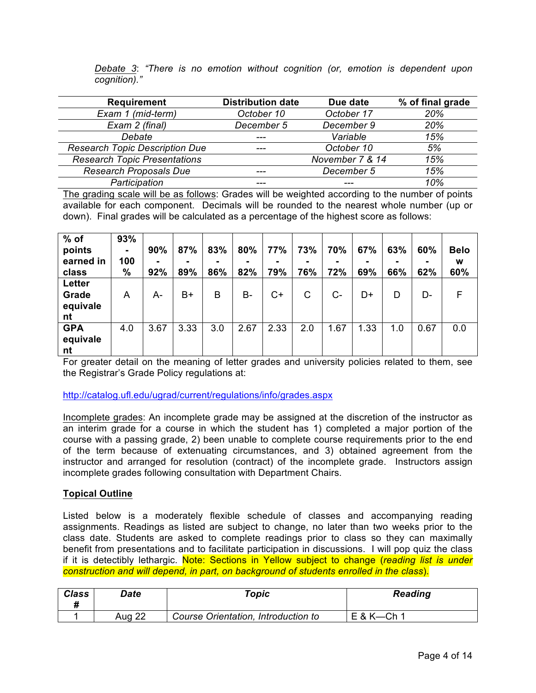|              |  |  |  |  | Debate 3: "There is no emotion without cognition (or, emotion is dependent upon |  |
|--------------|--|--|--|--|---------------------------------------------------------------------------------|--|
| cognition)." |  |  |  |  |                                                                                 |  |

| <b>Requirement</b>                    | <b>Distribution date</b> | Due date        | % of final grade |
|---------------------------------------|--------------------------|-----------------|------------------|
| Exam 1 (mid-term)                     | October 10               | October 17      | 20%              |
| Exam 2 (final)                        | December 5               | December 9      | 20%              |
| Debate                                | ---                      | Variable        | 15%              |
| <b>Research Topic Description Due</b> | ---                      | October 10      | 5%               |
| <b>Research Topic Presentations</b>   |                          | November 7 & 14 | 15%              |
| <b>Research Proposals Due</b>         | ---                      | December 5      | 15%              |
| Participation                         | ---                      |                 | 10%              |

The grading scale will be as follows: Grades will be weighted according to the number of points available for each component. Decimals will be rounded to the nearest whole number (up or down). Final grades will be calculated as a percentage of the highest score as follows:

| $%$ of<br>points<br>earned in<br>class | 93%<br>۰.<br>100<br>$\%$ | 90%<br>92% | 87%<br>89% | 83%<br>۰<br>86% | 80%<br>82% | 77%<br>79% | 73%<br>۰<br>76% | 70%<br>72% | 67%<br>69% | 63%<br>۰<br>66% | 60%<br>62% | <b>Belo</b><br>W<br>60% |
|----------------------------------------|--------------------------|------------|------------|-----------------|------------|------------|-----------------|------------|------------|-----------------|------------|-------------------------|
| Letter<br>Grade<br>equivale<br>nt      | A                        | A-         | $B+$       | B               | $B -$      | $C+$       | С               | C-         | D+         | D               | D-         | F                       |
| <b>GPA</b><br>equivale<br>nt           | 4.0                      | 3.67       | 3.33       | 3.0             | 2.67       | 2.33       | 2.0             | 1.67       | 1.33       | 1.0             | 0.67       | 0.0                     |

For greater detail on the meaning of letter grades and university policies related to them, see the Registrar's Grade Policy regulations at:

## http://catalog.ufl.edu/ugrad/current/regulations/info/grades.aspx

Incomplete grades: An incomplete grade may be assigned at the discretion of the instructor as an interim grade for a course in which the student has 1) completed a major portion of the course with a passing grade, 2) been unable to complete course requirements prior to the end of the term because of extenuating circumstances, and 3) obtained agreement from the instructor and arranged for resolution (contract) of the incomplete grade. Instructors assign incomplete grades following consultation with Department Chairs.

## **Topical Outline**

Listed below is a moderately flexible schedule of classes and accompanying reading assignments. Readings as listed are subject to change, no later than two weeks prior to the class date. Students are asked to complete readings prior to class so they can maximally benefit from presentations and to facilitate participation in discussions. I will pop quiz the class if it is detectibly lethargic. Note: Sections in Yellow subject to change (*reading list is under construction and will depend, in part, on background of students enrolled in the class*).

| <b>Class</b> | Date   | $\tau$ opic                         | <b>Reading</b>  |
|--------------|--------|-------------------------------------|-----------------|
|              | Aug 22 | Course Orientation, Introduction to | $E$ & K- $Ch$ 1 |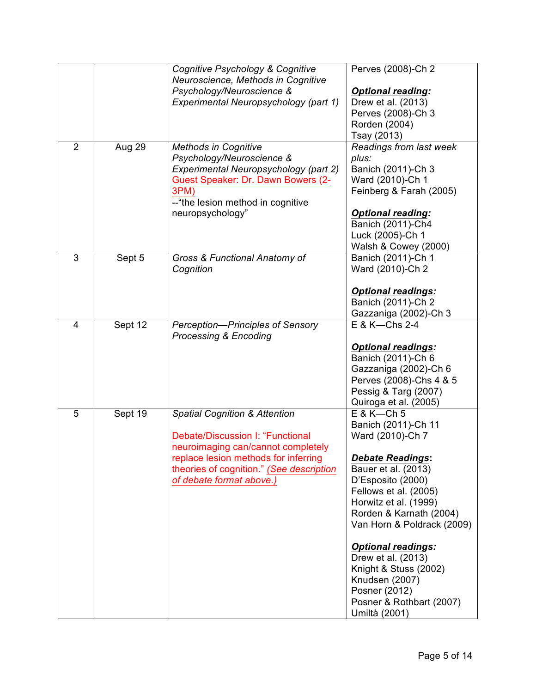| $\overline{2}$ | Aug 29  | Cognitive Psychology & Cognitive<br>Neuroscience, Methods in Cognitive<br>Psychology/Neuroscience &<br>Experimental Neuropsychology (part 1)<br><b>Methods in Cognitive</b>                                                        | Perves (2008)-Ch 2<br><b>Optional reading:</b><br>Drew et al. (2013)<br>Perves (2008)-Ch 3<br>Rorden (2004)<br>Tsay (2013)<br>Readings from last week                                                                                                                                                                                                                                                 |
|----------------|---------|------------------------------------------------------------------------------------------------------------------------------------------------------------------------------------------------------------------------------------|-------------------------------------------------------------------------------------------------------------------------------------------------------------------------------------------------------------------------------------------------------------------------------------------------------------------------------------------------------------------------------------------------------|
|                |         | Psychology/Neuroscience &<br>Experimental Neuropsychology (part 2)<br>Guest Speaker: Dr. Dawn Bowers (2-<br>3PM)<br>--"the lesion method in cognitive<br>neuropsychology"                                                          | plus:<br>Banich (2011)-Ch 3<br>Ward (2010)-Ch 1<br>Feinberg & Farah (2005)<br><b>Optional reading:</b><br>Banich (2011)-Ch4<br>Luck (2005)-Ch 1<br>Walsh & Cowey (2000)                                                                                                                                                                                                                               |
| 3              | Sept 5  | Gross & Functional Anatomy of<br>Cognition                                                                                                                                                                                         | Banich (2011)-Ch 1<br>Ward (2010)-Ch 2<br><b>Optional readings:</b><br>Banich (2011)-Ch 2<br>Gazzaniga (2002)-Ch 3                                                                                                                                                                                                                                                                                    |
| 4              | Sept 12 | Perception-Principles of Sensory<br><b>Processing &amp; Encoding</b>                                                                                                                                                               | E & K-Chs 2-4<br><b>Optional readings:</b><br>Banich (2011)-Ch 6<br>Gazzaniga (2002)-Ch 6<br>Perves (2008)-Chs 4 & 5<br>Pessig & Targ (2007)<br>Quiroga et al. (2005)                                                                                                                                                                                                                                 |
| 5              | Sept 19 | <b>Spatial Cognition &amp; Attention</b><br>Debate/Discussion I: "Functional<br>neuroimaging can/cannot completely<br>replace lesion methods for inferring<br>theories of cognition." (See description<br>of debate format above.) | $E$ & K-Ch 5<br>Banich (2011)-Ch 11<br>Ward (2010)-Ch 7<br><b>Debate Readings:</b><br>Bauer et al. (2013)<br>D'Esposito (2000)<br>Fellows et al. (2005)<br>Horwitz et al. (1999)<br>Rorden & Karnath (2004)<br>Van Horn & Poldrack (2009)<br><b>Optional readings:</b><br>Drew et al. (2013)<br>Knight & Stuss (2002)<br>Knudsen (2007)<br>Posner (2012)<br>Posner & Rothbart (2007)<br>Umiltà (2001) |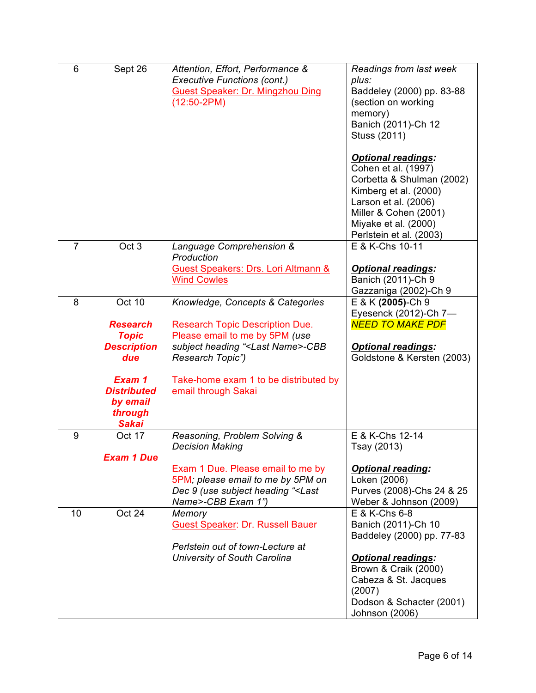| 6              | Sept 26                                                                                                                                       | Attention, Effort, Performance &<br><b>Executive Functions (cont.)</b><br>Guest Speaker: Dr. Mingzhou Ding<br>$(12:50-2PM)$                                                                                                                        | Readings from last week<br>plus:<br>Baddeley (2000) pp. 83-88<br>(section on working<br>memory)<br>Banich (2011)-Ch 12<br>Stuss (2011)<br><b>Optional readings:</b><br>Cohen et al. (1997)<br>Corbetta & Shulman (2002)<br>Kimberg et al. (2000)<br>Larson et al. (2006)<br>Miller & Cohen (2001)<br>Miyake et al. (2000)<br>Perlstein et al. (2003) |
|----------------|-----------------------------------------------------------------------------------------------------------------------------------------------|----------------------------------------------------------------------------------------------------------------------------------------------------------------------------------------------------------------------------------------------------|------------------------------------------------------------------------------------------------------------------------------------------------------------------------------------------------------------------------------------------------------------------------------------------------------------------------------------------------------|
| $\overline{7}$ | Oct <sub>3</sub>                                                                                                                              | Language Comprehension &<br>Production<br>Guest Speakers: Drs. Lori Altmann &<br><b>Wind Cowles</b>                                                                                                                                                | E & K-Chs 10-11<br><b>Optional readings:</b><br>Banich (2011)-Ch 9<br>Gazzaniga (2002)-Ch 9                                                                                                                                                                                                                                                          |
| 8              | Oct 10<br><b>Research</b><br><b>Topic</b><br><b>Description</b><br>due<br>Exam 1<br><b>Distributed</b><br>by email<br>through<br><b>Sakai</b> | Knowledge, Concepts & Categories<br><b>Research Topic Description Due.</b><br>Please email to me by 5PM (use<br>subject heading " <last name="">-CBB<br/>Research Topic")<br/>Take-home exam 1 to be distributed by<br/>email through Sakai</last> | E & K (2005)-Ch 9<br>Eyesenck (2012)-Ch 7-<br><b>NEED TO MAKE PDF</b><br><b>Optional readings:</b><br>Goldstone & Kersten (2003)                                                                                                                                                                                                                     |
| 9              | Oct 17<br><b>Exam 1 Due</b>                                                                                                                   | Reasoning, Problem Solving &<br><b>Decision Making</b><br>Exam 1 Due. Please email to me by<br>5PM; please email to me by 5PM on<br>Dec 9 (use subject heading " <last<br>Name&gt;-CBB Exam 1")</last<br>                                          | E & K-Chs 12-14<br>Tsay (2013)<br><b>Optional reading:</b><br>Loken (2006)<br>Purves (2008)-Chs 24 & 25<br>Weber & Johnson (2009)                                                                                                                                                                                                                    |
| 10             | Oct 24                                                                                                                                        | Memory<br>Guest Speaker: Dr. Russell Bauer<br>Perlstein out of town-Lecture at<br>University of South Carolina                                                                                                                                     | E & K-Chs 6-8<br>Banich (2011)-Ch 10<br>Baddeley (2000) pp. 77-83<br><b>Optional readings:</b><br>Brown & Craik (2000)<br>Cabeza & St. Jacques<br>(2007)<br>Dodson & Schacter (2001)<br>Johnson (2006)                                                                                                                                               |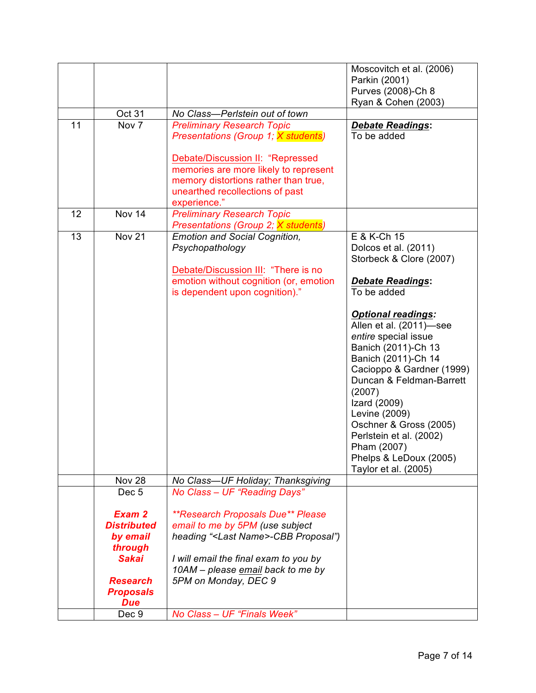|    |                    |                                                 | Moscovitch et al. (2006)  |
|----|--------------------|-------------------------------------------------|---------------------------|
|    |                    |                                                 | Parkin (2001)             |
|    |                    |                                                 | Purves (2008)-Ch 8        |
|    |                    |                                                 | Ryan & Cohen (2003)       |
|    | Oct 31             | No Class-Perlstein out of town                  |                           |
| 11 | Nov 7              | <b>Preliminary Research Topic</b>               | <b>Debate Readings:</b>   |
|    |                    | Presentations (Group 1; X students)             | To be added               |
|    |                    |                                                 |                           |
|    |                    | Debate/Discussion II: "Repressed                |                           |
|    |                    | memories are more likely to represent           |                           |
|    |                    | memory distortions rather than true,            |                           |
|    |                    | unearthed recollections of past                 |                           |
|    |                    | experience."                                    |                           |
| 12 | Nov 14             | <b>Preliminary Research Topic</b>               |                           |
|    |                    | Presentations (Group 2; X students)             |                           |
| 13 | <b>Nov 21</b>      | <b>Emotion and Social Cognition,</b>            | E & K-Ch 15               |
|    |                    | Psychopathology                                 | Dolcos et al. (2011)      |
|    |                    |                                                 | Storbeck & Clore (2007)   |
|    |                    | Debate/Discussion III: "There is no             |                           |
|    |                    | emotion without cognition (or, emotion          | <b>Debate Readings:</b>   |
|    |                    | is dependent upon cognition)."                  | To be added               |
|    |                    |                                                 |                           |
|    |                    |                                                 | <b>Optional readings:</b> |
|    |                    |                                                 | Allen et al. (2011)-see   |
|    |                    |                                                 | entire special issue      |
|    |                    |                                                 | Banich (2011)-Ch 13       |
|    |                    |                                                 | Banich (2011)-Ch 14       |
|    |                    |                                                 | Cacioppo & Gardner (1999) |
|    |                    |                                                 | Duncan & Feldman-Barrett  |
|    |                    |                                                 | (2007)                    |
|    |                    |                                                 | Izard (2009)              |
|    |                    |                                                 | Levine (2009)             |
|    |                    |                                                 | Oschner & Gross (2005)    |
|    |                    |                                                 | Perlstein et al. (2002)   |
|    |                    |                                                 | Pham (2007)               |
|    |                    |                                                 | Phelps & LeDoux (2005)    |
|    | <b>Nov 28</b>      | No Class-UF Holiday; Thanksgiving               | Taylor et al. (2005)      |
|    | Dec <sub>5</sub>   | No Class - UF "Reading Days"                    |                           |
|    |                    |                                                 |                           |
|    | Exam 2             | <i><b>**Research Proposals Due** Please</b></i> |                           |
|    | <b>Distributed</b> | email to me by 5PM (use subject                 |                           |
|    | by email           | heading " <last name="">-CBB Proposal")</last>  |                           |
|    | through            |                                                 |                           |
|    | <b>Sakai</b>       | I will email the final exam to you by           |                           |
|    |                    | 10AM - please email back to me by               |                           |
|    | <b>Research</b>    | 5PM on Monday, DEC 9                            |                           |
|    | <b>Proposals</b>   |                                                 |                           |
|    | <b>Due</b>         |                                                 |                           |
|    | Dec 9              | No Class - UF "Finals Week"                     |                           |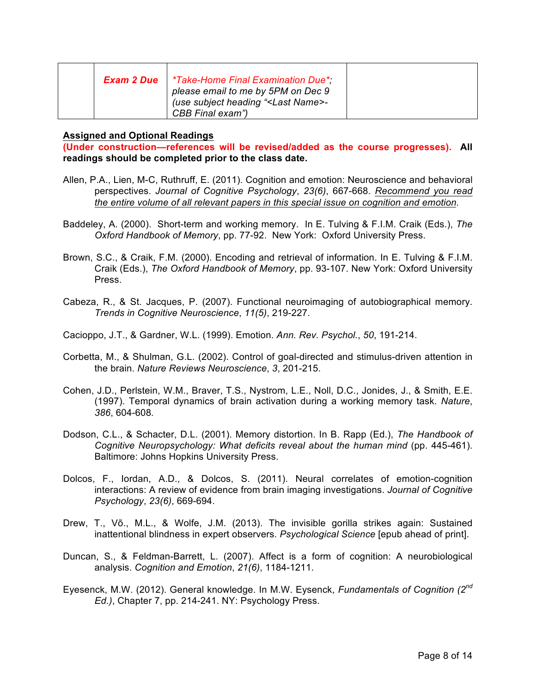| Exam 2 Due | *Take-Home Final Examination Due*<br>please email to me by 5PM on Dec 9<br>(use subject heading " <last name="">-<br/>CBB Final exam")</last> |  |
|------------|-----------------------------------------------------------------------------------------------------------------------------------------------|--|
|------------|-----------------------------------------------------------------------------------------------------------------------------------------------|--|

### **Assigned and Optional Readings**

**(Under construction—references will be revised/added as the course progresses). All readings should be completed prior to the class date.**

- Allen, P.A., Lien, M-C, Ruthruff, E. (2011). Cognition and emotion: Neuroscience and behavioral perspectives. *Journal of Cognitive Psychology*, *23(6)*, 667-668. *Recommend you read the entire volume of all relevant papers in this special issue on cognition and emotion*.
- Baddeley, A. (2000). Short-term and working memory. In E. Tulving & F.I.M. Craik (Eds.), *The Oxford Handbook of Memory*, pp. 77-92. New York: Oxford University Press.
- Brown, S.C., & Craik, F.M. (2000). Encoding and retrieval of information. In E. Tulving & F.I.M. Craik (Eds.), *The Oxford Handbook of Memory*, pp. 93-107. New York: Oxford University Press.
- Cabeza, R., & St. Jacques, P. (2007). Functional neuroimaging of autobiographical memory. *Trends in Cognitive Neuroscience*, *11(5)*, 219-227.
- Cacioppo, J.T., & Gardner, W.L. (1999). Emotion. *Ann. Rev. Psychol.*, *50*, 191-214.
- Corbetta, M., & Shulman, G.L. (2002). Control of goal-directed and stimulus-driven attention in the brain. *Nature Reviews Neuroscience*, *3*, 201-215.
- Cohen, J.D., Perlstein, W.M., Braver, T.S., Nystrom, L.E., Noll, D.C., Jonides, J., & Smith, E.E. (1997). Temporal dynamics of brain activation during a working memory task. *Nature*, *386*, 604-608*.*
- Dodson, C.L., & Schacter, D.L. (2001). Memory distortion. In B. Rapp (Ed.), *The Handbook of Cognitive Neuropsychology: What deficits reveal about the human mind* (pp. 445-461). Baltimore: Johns Hopkins University Press.
- Dolcos, F., Iordan, A.D., & Dolcos, S. (2011). Neural correlates of emotion-cognition interactions: A review of evidence from brain imaging investigations. *Journal of Cognitive Psychology*, *23(6)*, 669-694.
- Drew, T., Võ., M.L., & Wolfe, J.M. (2013). The invisible gorilla strikes again: Sustained inattentional blindness in expert observers. *Psychological Science* [epub ahead of print].
- Duncan, S., & Feldman-Barrett, L. (2007). Affect is a form of cognition: A neurobiological analysis. *Cognition and Emotion*, *21(6)*, 1184-1211.
- Eyesenck, M.W. (2012). General knowledge. In M.W. Eysenck, *Fundamentals of Cognition (2nd Ed.)*, Chapter 7, pp. 214-241. NY: Psychology Press.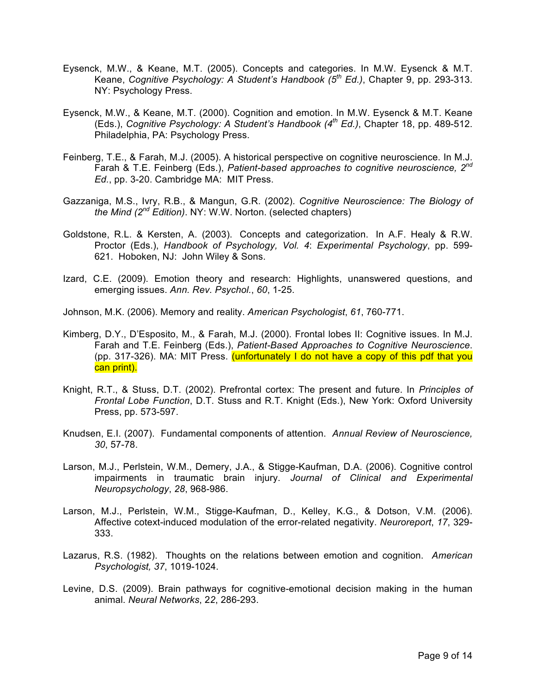- Eysenck, M.W., & Keane, M.T. (2005). Concepts and categories. In M.W. Eysenck & M.T. Keane, *Cognitive Psychology: A Student's Handbook (5th Ed.)*, Chapter 9, pp. 293-313. NY: Psychology Press.
- Eysenck, M.W., & Keane, M.T. (2000). Cognition and emotion. In M.W. Eysenck & M.T. Keane (Eds.), *Cognitive Psychology: A Student's Handbook (4th Ed.)*, Chapter 18, pp. 489-512. Philadelphia, PA: Psychology Press.
- Feinberg, T.E., & Farah, M.J. (2005). A historical perspective on cognitive neuroscience. In M.J. Farah & T.E. Feinberg (Eds.), *Patient-based approaches to cognitive neuroscience, 2nd Ed.*, pp. 3-20. Cambridge MA: MIT Press.
- Gazzaniga, M.S., Ivry, R.B., & Mangun, G.R. (2002). *Cognitive Neuroscience: The Biology of the Mind (2nd Edition)*. NY: W.W. Norton. (selected chapters)
- Goldstone, R.L. & Kersten, A. (2003). Concepts and categorization. In A.F. Healy & R.W. Proctor (Eds.), *Handbook of Psychology, Vol. 4*: *Experimental Psychology*, pp. 599- 621. Hoboken, NJ: John Wiley & Sons.
- Izard, C.E. (2009). Emotion theory and research: Highlights, unanswered questions, and emerging issues. *Ann. Rev. Psychol.*, *60*, 1-25.
- Johnson, M.K. (2006). Memory and reality. *American Psychologist*, *61*, 760-771.
- Kimberg, D.Y., D'Esposito, M., & Farah, M.J. (2000). Frontal lobes II: Cognitive issues. In M.J. Farah and T.E. Feinberg (Eds.), *Patient-Based Approaches to Cognitive Neuroscience*. (pp. 317-326). MA: MIT Press. (unfortunately I do not have a copy of this pdf that you can print).
- Knight, R.T., & Stuss, D.T. (2002). Prefrontal cortex: The present and future. In *Principles of Frontal Lobe Function*, D.T. Stuss and R.T. Knight (Eds.), New York: Oxford University Press, pp. 573-597.
- Knudsen, E.I. (2007). Fundamental components of attention. *Annual Review of Neuroscience, 30*, 57-78.
- Larson, M.J., Perlstein, W.M., Demery, J.A., & Stigge-Kaufman, D.A. (2006). Cognitive control impairments in traumatic brain injury. *Journal of Clinical and Experimental Neuropsychology*, *28*, 968-986.
- Larson, M.J., Perlstein, W.M., Stigge-Kaufman, D., Kelley, K.G., & Dotson, V.M. (2006). Affective cotext-induced modulation of the error-related negativity. *Neuroreport*, *17*, 329- 333.
- Lazarus, R.S. (1982). Thoughts on the relations between emotion and cognition. *American Psychologist, 37*, 1019-1024.
- Levine, D.S. (2009). Brain pathways for cognitive-emotional decision making in the human animal. *Neural Networks*, 2*2*, 286-293.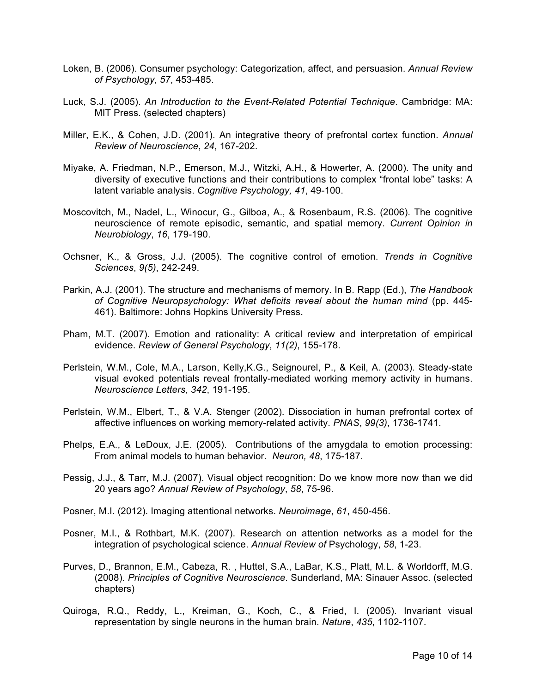- Loken, B. (2006). Consumer psychology: Categorization, affect, and persuasion. *Annual Review of Psychology*, *57*, 453-485.
- Luck, S.J. (2005). *An Introduction to the Event-Related Potential Technique*. Cambridge: MA: MIT Press. (selected chapters)
- Miller, E.K., & Cohen, J.D. (2001). An integrative theory of prefrontal cortex function. *Annual Review of Neuroscience*, *24*, 167-202.
- Miyake, A. Friedman, N.P., Emerson, M.J., Witzki, A.H., & Howerter, A. (2000). The unity and diversity of executive functions and their contributions to complex "frontal lobe" tasks: A latent variable analysis. *Cognitive Psychology, 41*, 49-100.
- Moscovitch, M., Nadel, L., Winocur, G., Gilboa, A., & Rosenbaum, R.S. (2006). The cognitive neuroscience of remote episodic, semantic, and spatial memory. *Current Opinion in Neurobiology*, *16*, 179-190.
- Ochsner, K., & Gross, J.J. (2005). The cognitive control of emotion. *Trends in Cognitive Sciences*, *9(5)*, 242-249.
- Parkin, A.J. (2001). The structure and mechanisms of memory. In B. Rapp (Ed.), *The Handbook of Cognitive Neuropsychology: What deficits reveal about the human mind* (pp. 445- 461). Baltimore: Johns Hopkins University Press.
- Pham, M.T. (2007). Emotion and rationality: A critical review and interpretation of empirical evidence. *Review of General Psychology*, *11(2)*, 155-178.
- Perlstein, W.M., Cole, M.A., Larson, Kelly,K.G., Seignourel, P., & Keil, A. (2003). Steady-state visual evoked potentials reveal frontally-mediated working memory activity in humans. *Neuroscience Letters*, *342*, 191-195.
- Perlstein, W.M., Elbert, T., & V.A. Stenger (2002). Dissociation in human prefrontal cortex of affective influences on working memory-related activity. *PNAS*, *99(3)*, 1736-1741.
- Phelps, E.A., & LeDoux, J.E. (2005). Contributions of the amygdala to emotion processing: From animal models to human behavior. *Neuron, 48*, 175-187.
- Pessig, J.J., & Tarr, M.J. (2007). Visual object recognition: Do we know more now than we did 20 years ago? *Annual Review of Psychology*, *58*, 75-96.
- Posner, M.I. (2012). Imaging attentional networks. *Neuroimage*, *61*, 450-456.
- Posner, M.I., & Rothbart, M.K. (2007). Research on attention networks as a model for the integration of psychological science. *Annual Review of* Psychology, *58*, 1-23.
- Purves, D., Brannon, E.M., Cabeza, R. , Huttel, S.A., LaBar, K.S., Platt, M.L. & Worldorff, M.G. (2008). *Principles of Cognitive Neuroscience*. Sunderland, MA: Sinauer Assoc. (selected chapters)
- Quiroga, R.Q., Reddy, L., Kreiman, G., Koch, C., & Fried, I. (2005). Invariant visual representation by single neurons in the human brain. *Nature*, *435*, 1102-1107.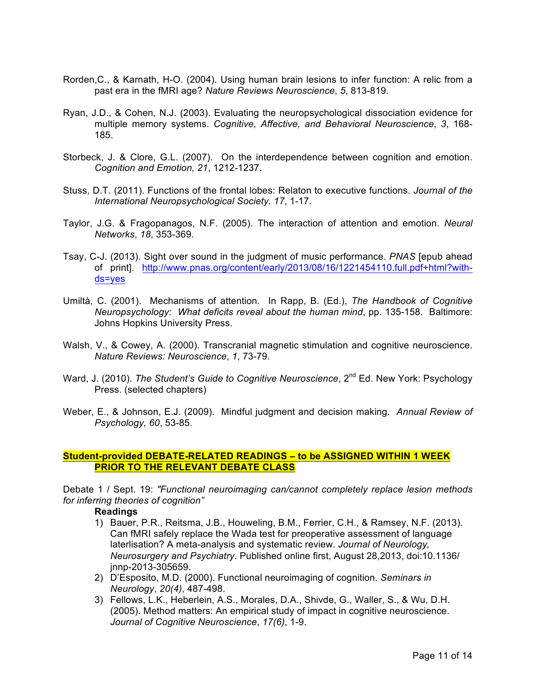- Rorden,C., & Karnath, H-O. (2004). Using human brain lesions to infer function: A relic from a past era in the fMRI age? *Nature Reviews Neuroscience*, *5*, 813-819.
- Ryan, J.D., & Cohen, N.J. (2003). Evaluating the neuropsychological dissociation evidence for multiple memory systems. *Cognitive, Affective, and Behavioral Neuroscience*, *3*, 168- 185.
- Storbeck, J. & Clore, G.L. (2007). On the interdependence between cognition and emotion. *Cognition and Emotion, 21*, 1212-1237.
- Stuss, D.T. (2011). Functions of the frontal lobes: Relaton to executive functions. *Journal of the International Neuropsychological Society*. *17*, 1-17.
- Taylor, J.G. & Fragopanagos, N.F. (2005). The interaction of attention and emotion. *Neural Networks*, *18*, 353-369.
- Tsay, C-J. (2013). Sight over sound in the judgment of music performance. *PNAS* [epub ahead of print]. http://www.pnas.org/content/early/2013/08/16/1221454110.full.pdf+html?withds=yes
- Umiltà, C. (2001). Mechanisms of attention. In Rapp, B. (Ed.), *The Handbook of Cognitive Neuropsychology: What deficits reveal about the human mind*, pp. 135-158. Baltimore: Johns Hopkins University Press.
- Walsh, V., & Cowey, A. (2000). Transcranial magnetic stimulation and cognitive neuroscience. *Nature Reviews: Neuroscience*, *1*, 73-79.
- Ward, J. (2010). *The Student's Guide to Cognitive Neuroscience*, 2<sup>nd</sup> Ed. New York: Psychology Press. (selected chapters)
- Weber, E., & Johnson, E.J. (2009). Mindful judgment and decision making. *Annual Review of Psychology, 60*, 53-85.

## **Student-provided DEBATE-RELATED READINGS – to be ASSIGNED WITHIN 1 WEEK PRIOR TO THE RELEVANT DEBATE CLASS**

Debate 1 / Sept. 19: *"Functional neuroimaging can/cannot completely replace lesion methods for inferring theories of cognition"*

#### **Readings**

- 1) Bauer, P.R., Reitsma, J.B., Houweling, B.M., Ferrier, C.H., & Ramsey, N.F. (2013). Can fMRI safely replace the Wada test for preoperative assessment of language laterlisation? A meta-analysis and systematic review. *Journal of Neurology, Neurosurgery and Psychiatry*. Published online first, August 28,2013, doi:10.1136/ jnnp-2013-305659.
- 2) D'Esposito, M.D. (2000). Functional neuroimaging of cognition. *Seminars in Neurology*, *20(4)*, 487-498.
- 3) Fellows, L.K., Heberlein, A.S., Morales, D.A., Shivde, G., Waller, S., & Wu, D.H. (2005). Method matters: An empirical study of impact in cognitive neuroscience. *Journal of Cognitive Neuroscience*, *17(6)*, 1-9.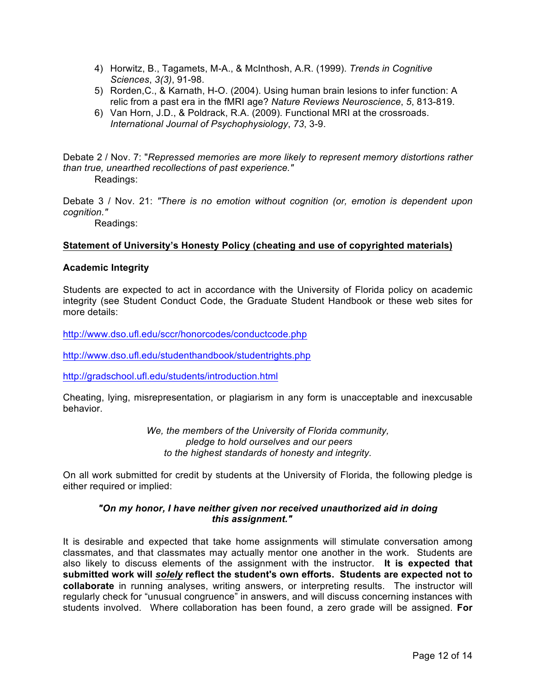- 4) Horwitz, B., Tagamets, M-A., & McInthosh, A.R. (1999). *Trends in Cognitive Sciences*, *3(3)*, 91-98.
- 5) Rorden,C., & Karnath, H-O. (2004). Using human brain lesions to infer function: A relic from a past era in the fMRI age? *Nature Reviews Neuroscience*, *5*, 813-819.
- 6) Van Horn, J.D., & Poldrack, R.A. (2009). Functional MRI at the crossroads. *International Journal of Psychophysiology*, *73*, 3-9.

Debate 2 / Nov. 7: "*Repressed memories are more likely to represent memory distortions rather than true, unearthed recollections of past experience."*

Readings:

Debate 3 / Nov. 21: *"There is no emotion without cognition (or, emotion is dependent upon cognition."*

Readings:

# **Statement of University's Honesty Policy (cheating and use of copyrighted materials)**

## **Academic Integrity**

Students are expected to act in accordance with the University of Florida policy on academic integrity (see Student Conduct Code, the Graduate Student Handbook or these web sites for more details:

http://www.dso.ufl.edu/sccr/honorcodes/conductcode.php

http://www.dso.ufl.edu/studenthandbook/studentrights.php

http://gradschool.ufl.edu/students/introduction.html

Cheating, lying, misrepresentation, or plagiarism in any form is unacceptable and inexcusable behavior.

> *We, the members of the University of Florida community, pledge to hold ourselves and our peers to the highest standards of honesty and integrity.*

On all work submitted for credit by students at the University of Florida, the following pledge is either required or implied:

## *"On my honor, I have neither given nor received unauthorized aid in doing this assignment."*

It is desirable and expected that take home assignments will stimulate conversation among classmates, and that classmates may actually mentor one another in the work. Students are also likely to discuss elements of the assignment with the instructor. **It is expected that submitted work will** *solely* **reflect the student's own efforts. Students are expected not to collaborate** in running analyses, writing answers, or interpreting results. The instructor will regularly check for "unusual congruence" in answers, and will discuss concerning instances with students involved. Where collaboration has been found, a zero grade will be assigned. **For**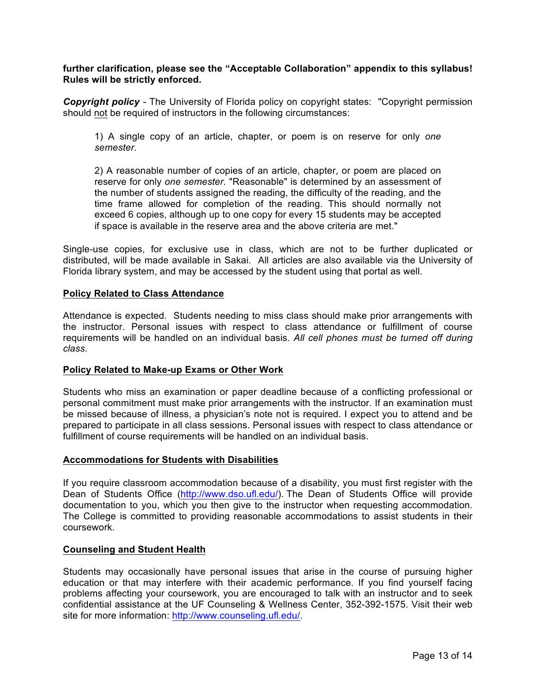**further clarification, please see the "Acceptable Collaboration" appendix to this syllabus! Rules will be strictly enforced.**

*Copyright policy -* The University of Florida policy on copyright states: "Copyright permission should not be required of instructors in the following circumstances:

1) A single copy of an article, chapter, or poem is on reserve for only *one semester*.

2) A reasonable number of copies of an article, chapter, or poem are placed on reserve for only *one semester*. "Reasonable" is determined by an assessment of the number of students assigned the reading, the difficulty of the reading, and the time frame allowed for completion of the reading. This should normally not exceed 6 copies, although up to one copy for every 15 students may be accepted if space is available in the reserve area and the above criteria are met."

Single-use copies, for exclusive use in class, which are not to be further duplicated or distributed, will be made available in Sakai. All articles are also available via the University of Florida library system, and may be accessed by the student using that portal as well.

## **Policy Related to Class Attendance**

Attendance is expected. Students needing to miss class should make prior arrangements with the instructor. Personal issues with respect to class attendance or fulfillment of course requirements will be handled on an individual basis. *All cell phones must be turned off during class.*

## **Policy Related to Make-up Exams or Other Work**

Students who miss an examination or paper deadline because of a conflicting professional or personal commitment must make prior arrangements with the instructor. If an examination must be missed because of illness, a physician's note not is required. I expect you to attend and be prepared to participate in all class sessions. Personal issues with respect to class attendance or fulfillment of course requirements will be handled on an individual basis.

## **Accommodations for Students with Disabilities**

If you require classroom accommodation because of a disability, you must first register with the Dean of Students Office (http://www.dso.ufl.edu/). The Dean of Students Office will provide documentation to you, which you then give to the instructor when requesting accommodation. The College is committed to providing reasonable accommodations to assist students in their coursework.

## **Counseling and Student Health**

Students may occasionally have personal issues that arise in the course of pursuing higher education or that may interfere with their academic performance. If you find yourself facing problems affecting your coursework, you are encouraged to talk with an instructor and to seek confidential assistance at the UF Counseling & Wellness Center, 352-392-1575. Visit their web site for more information: http://www.counseling.ufl.edu/.